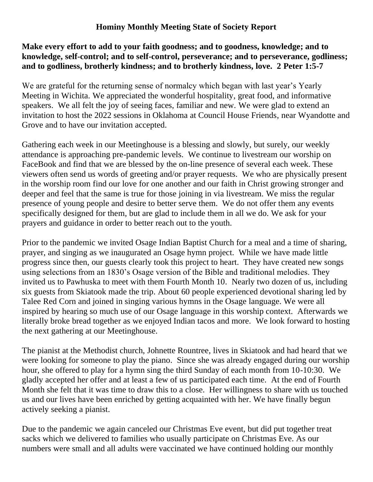## **Hominy Monthly Meeting State of Society Report**

## **Make every effort to add to your faith goodness; and to goodness, knowledge; and to knowledge, self-control; and to self-control, perseverance; and to perseverance, godliness; and to godliness, brotherly kindness; and to brotherly kindness, love. 2 Peter 1:5-7**

We are grateful for the returning sense of normalcy which began with last year's Yearly Meeting in Wichita. We appreciated the wonderful hospitality, great food, and informative speakers. We all felt the joy of seeing faces, familiar and new. We were glad to extend an invitation to host the 2022 sessions in Oklahoma at Council House Friends, near Wyandotte and Grove and to have our invitation accepted.

Gathering each week in our Meetinghouse is a blessing and slowly, but surely, our weekly attendance is approaching pre-pandemic levels. We continue to livestream our worship on FaceBook and find that we are blessed by the on-line presence of several each week. These viewers often send us words of greeting and/or prayer requests. We who are physically present in the worship room find our love for one another and our faith in Christ growing stronger and deeper and feel that the same is true for those joining in via livestream. We miss the regular presence of young people and desire to better serve them. We do not offer them any events specifically designed for them, but are glad to include them in all we do. We ask for your prayers and guidance in order to better reach out to the youth.

Prior to the pandemic we invited Osage Indian Baptist Church for a meal and a time of sharing, prayer, and singing as we inaugurated an Osage hymn project. While we have made little progress since then, our guests clearly took this project to heart. They have created new songs using selections from an 1830's Osage version of the Bible and traditional melodies. They invited us to Pawhuska to meet with them Fourth Month 10. Nearly two dozen of us, including six guests from Skiatook made the trip. About 60 people experienced devotional sharing led by Talee Red Corn and joined in singing various hymns in the Osage language. We were all inspired by hearing so much use of our Osage language in this worship context. Afterwards we literally broke bread together as we enjoyed Indian tacos and more. We look forward to hosting the next gathering at our Meetinghouse.

The pianist at the Methodist church, Johnette Rountree, lives in Skiatook and had heard that we were looking for someone to play the piano. Since she was already engaged during our worship hour, she offered to play for a hymn sing the third Sunday of each month from 10-10:30. We gladly accepted her offer and at least a few of us participated each time. At the end of Fourth Month she felt that it was time to draw this to a close. Her willingness to share with us touched us and our lives have been enriched by getting acquainted with her. We have finally begun actively seeking a pianist.

Due to the pandemic we again canceled our Christmas Eve event, but did put together treat sacks which we delivered to families who usually participate on Christmas Eve. As our numbers were small and all adults were vaccinated we have continued holding our monthly